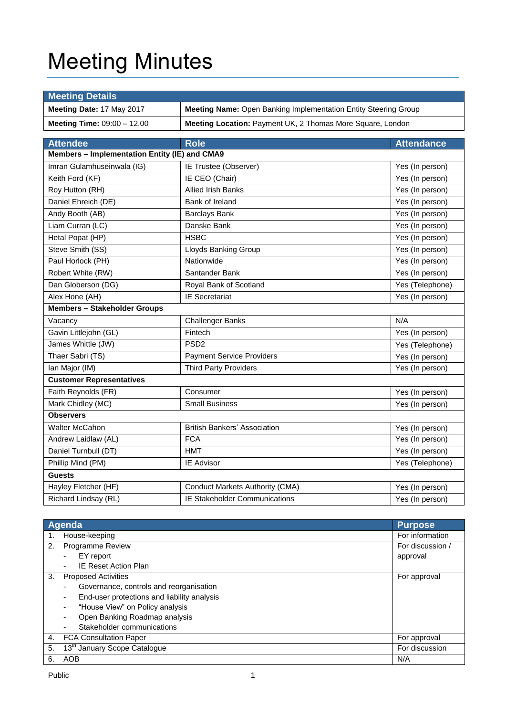# Meeting Minutes

| <b>Meeting Details</b>                                                                       |                                                            |                   |  |
|----------------------------------------------------------------------------------------------|------------------------------------------------------------|-------------------|--|
| Meeting Date: 17 May 2017<br>Meeting Name: Open Banking Implementation Entity Steering Group |                                                            |                   |  |
| Meeting Time: 09:00 - 12.00                                                                  | Meeting Location: Payment UK, 2 Thomas More Square, London |                   |  |
|                                                                                              |                                                            |                   |  |
| <b>Attendee</b>                                                                              | <b>Role</b>                                                | <b>Attendance</b> |  |
| Members - Implementation Entity (IE) and CMA9                                                |                                                            |                   |  |
| Imran Gulamhuseinwala (IG)                                                                   | IE Trustee (Observer)                                      | Yes (In person)   |  |
| Keith Ford (KF)                                                                              | IE CEO (Chair)                                             | Yes (In person)   |  |
| Roy Hutton (RH)                                                                              | <b>Allied Irish Banks</b>                                  | Yes (In person)   |  |
| Daniel Ehreich (DE)                                                                          | Bank of Ireland                                            | Yes (In person)   |  |
| Andy Booth (AB)                                                                              | <b>Barclays Bank</b>                                       | Yes (In person)   |  |
| Liam Curran (LC)                                                                             | Danske Bank                                                | Yes (In person)   |  |
| Hetal Popat (HP)                                                                             | <b>HSBC</b>                                                | Yes (In person)   |  |
| Steve Smith (SS)                                                                             | <b>Lloyds Banking Group</b>                                | Yes (In person)   |  |
| Paul Horlock (PH)                                                                            | Nationwide                                                 | Yes (In person)   |  |
| Robert White (RW)                                                                            | Santander Bank                                             | Yes (In person)   |  |
| Dan Globerson (DG)                                                                           | Royal Bank of Scotland                                     | Yes (Telephone)   |  |
| Alex Hone (AH)                                                                               | <b>IE</b> Secretariat                                      | Yes (In person)   |  |
| <b>Members - Stakeholder Groups</b>                                                          |                                                            |                   |  |
| Vacancy                                                                                      | <b>Challenger Banks</b>                                    | N/A               |  |
| Gavin Littlejohn (GL)                                                                        | Fintech                                                    | Yes (In person)   |  |
| James Whittle (JW)                                                                           | PSD <sub>2</sub>                                           | Yes (Telephone)   |  |
| Thaer Sabri (TS)                                                                             | <b>Payment Service Providers</b>                           | Yes (In person)   |  |
| Ian Major (IM)                                                                               | <b>Third Party Providers</b>                               | Yes (In person)   |  |
| <b>Customer Representatives</b>                                                              |                                                            |                   |  |
| Faith Reynolds (FR)                                                                          | Consumer                                                   | Yes (In person)   |  |
| Mark Chidley (MC)                                                                            | <b>Small Business</b>                                      | Yes (In person)   |  |
| <b>Observers</b>                                                                             |                                                            |                   |  |
| <b>Walter McCahon</b>                                                                        | <b>British Bankers' Association</b>                        | Yes (In person)   |  |
| Andrew Laidlaw (AL)                                                                          | <b>FCA</b>                                                 | Yes (In person)   |  |
| Daniel Turnbull (DT)                                                                         | <b>HMT</b>                                                 | Yes (In person)   |  |
| Phillip Mind (PM)                                                                            | IE Advisor                                                 | Yes (Telephone)   |  |
| <b>Guests</b>                                                                                |                                                            |                   |  |
| Hayley Fletcher (HF)                                                                         | <b>Conduct Markets Authority (CMA)</b>                     | Yes (In person)   |  |
| Richard Lindsay (RL)                                                                         | <b>IE Stakeholder Communications</b>                       | Yes (In person)   |  |

|    | Agenda                                      | <b>Purpose</b>   |
|----|---------------------------------------------|------------------|
| 1. | House-keeping                               | For information  |
| 2. | <b>Programme Review</b>                     | For discussion / |
|    | EY report                                   | approval         |
|    | <b>IE Reset Action Plan</b><br>$\sim$       |                  |
| 3. | <b>Proposed Activities</b>                  | For approval     |
|    | Governance, controls and reorganisation     |                  |
|    | End-user protections and liability analysis |                  |
|    | "House View" on Policy analysis             |                  |
|    | Open Banking Roadmap analysis               |                  |
|    | Stakeholder communications                  |                  |
| 4. | <b>FCA Consultation Paper</b>               | For approval     |
| 5. | 13 <sup>th</sup> January Scope Catalogue    | For discussion   |
| 6. | AOB                                         | N/A              |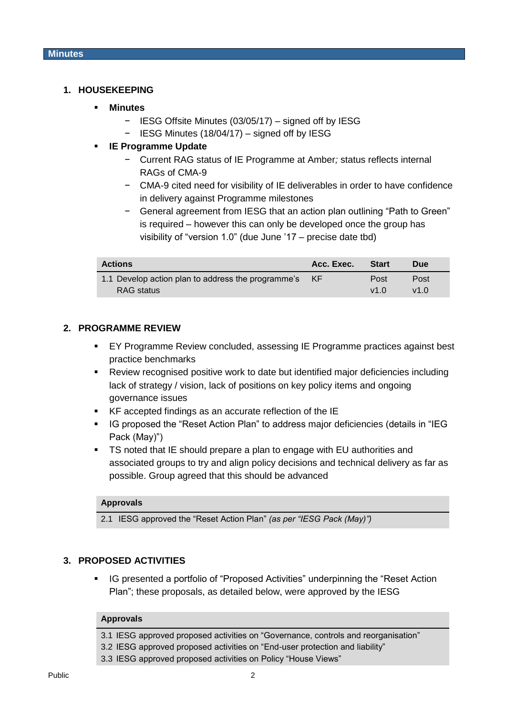## **1. HOUSEKEEPING**

#### **Minutes**

- − IESG Offsite Minutes (03/05/17) signed off by IESG
- − IESG Minutes (18/04/17) signed off by IESG

## **IE Programme Update**

- − Current RAG status of IE Programme at Amber*;* status reflects internal RAGs of CMA-9
- − CMA-9 cited need for visibility of IE deliverables in order to have confidence in delivery against Programme milestones
- − General agreement from IESG that an action plan outlining "Path to Green" is required – however this can only be developed once the group has visibility of "version 1.0" (due June '17 – precise date tbd)

| <b>Actions</b>                                        | Acc. Exec. | <b>Start</b> | <b>Due</b>    |
|-------------------------------------------------------|------------|--------------|---------------|
| 1.1 Develop action plan to address the programme's KF |            | Post         | Post          |
| RAG status                                            |            | v10          | $v1$ $\Omega$ |

## **2. PROGRAMME REVIEW**

- EY Programme Review concluded, assessing IE Programme practices against best practice benchmarks
- Review recognised positive work to date but identified major deficiencies including lack of strategy / vision, lack of positions on key policy items and ongoing governance issues
- KF accepted findings as an accurate reflection of the IE
- IG proposed the "Reset Action Plan" to address major deficiencies (details in "IEG Pack (May)")
- **TS noted that IE should prepare a plan to engage with EU authorities and** associated groups to try and align policy decisions and technical delivery as far as possible. Group agreed that this should be advanced

#### **Approvals**

2.1 IESG approved the "Reset Action Plan" *(as per "IESG Pack (May)")*

## **3. PROPOSED ACTIVITIES**

 IG presented a portfolio of "Proposed Activities" underpinning the "Reset Action Plan"; these proposals, as detailed below, were approved by the IESG

#### **Approvals**

- 3.1 IESG approved proposed activities on "Governance, controls and reorganisation"
- 3.2 IESG approved proposed activities on "End-user protection and liability"
- 3.3 IESG approved proposed activities on Policy "House Views"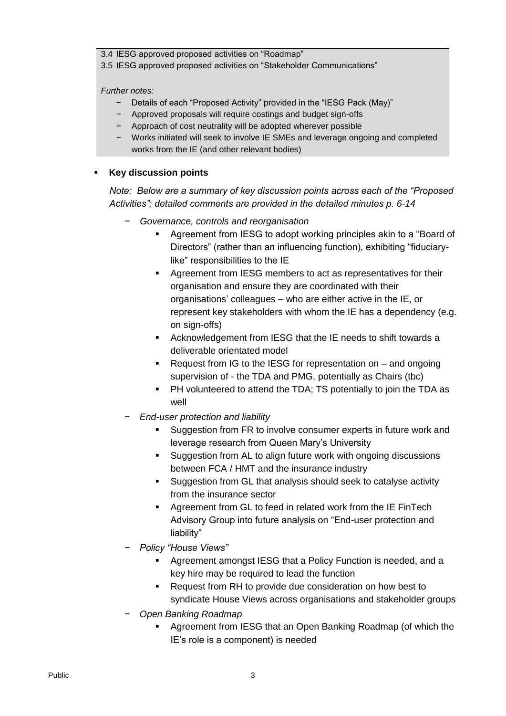3.4 IESG approved proposed activities on "Roadmap"

3.5 IESG approved proposed activities on "Stakeholder Communications"

*Further notes:*

- − Details of each "Proposed Activity" provided in the "IESG Pack (May)"
- − Approved proposals will require costings and budget sign-offs
- − Approach of cost neutrality will be adopted wherever possible
- − Works initiated will seek to involve IE SMEs and leverage ongoing and completed works from the IE (and other relevant bodies)

# **Key discussion points**

*Note: Below are a summary of key discussion points across each of the "Proposed Activities"; detailed comments are provided in the detailed minutes p. 6-14*

- − *Governance, controls and reorganisation*
	- Agreement from IESG to adopt working principles akin to a "Board of Directors" (rather than an influencing function), exhibiting "fiduciarylike" responsibilities to the IE
	- Agreement from IESG members to act as representatives for their organisation and ensure they are coordinated with their organisations' colleagues – who are either active in the IE, or represent key stakeholders with whom the IE has a dependency (e.g. on sign-offs)
	- Acknowledgement from IESG that the IE needs to shift towards a deliverable orientated model
	- Request from IG to the IESG for representation on and ongoing supervision of - the TDA and PMG, potentially as Chairs (tbc)
	- **PH volunteered to attend the TDA; TS potentially to join the TDA as** well
- − *End-user protection and liability*
	- Suggestion from FR to involve consumer experts in future work and leverage research from Queen Mary's University
	- **Suggestion from AL to align future work with ongoing discussions** between FCA / HMT and the insurance industry
	- Suggestion from GL that analysis should seek to catalyse activity from the insurance sector
	- Agreement from GL to feed in related work from the IE FinTech Advisory Group into future analysis on "End-user protection and liability"
- − *Policy "House Views"*
	- Agreement amongst IESG that a Policy Function is needed, and a key hire may be required to lead the function
	- Request from RH to provide due consideration on how best to syndicate House Views across organisations and stakeholder groups
- − *Open Banking Roadmap*
	- Agreement from IESG that an Open Banking Roadmap (of which the IE's role is a component) is needed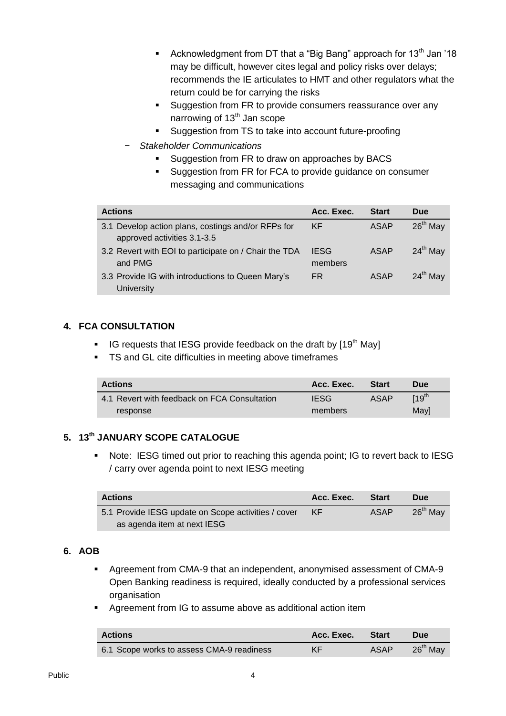- Acknowledgment from DT that a "Big Bang" approach for  $13<sup>th</sup>$  Jan '18 may be difficult, however cites legal and policy risks over delays; recommends the IE articulates to HMT and other regulators what the return could be for carrying the risks
- **Suggestion from FR to provide consumers reassurance over any** narrowing of 13<sup>th</sup> Jan scope
- Suggestion from TS to take into account future-proofing
- − *Stakeholder Communications*
	- Suggestion from FR to draw on approaches by BACS
	- **Suggestion from FR for FCA to provide guidance on consumer** messaging and communications

| <b>Actions</b>                                                                    | Acc. Exec.             | <b>Start</b> | <b>Due</b>    |
|-----------------------------------------------------------------------------------|------------------------|--------------|---------------|
| 3.1 Develop action plans, costings and/or RFPs for<br>approved activities 3.1-3.5 | KF                     | ASAP         | $26th$ May    |
| 3.2 Revert with EOI to participate on / Chair the TDA<br>and PMG                  | <b>IESG</b><br>members | <b>ASAP</b>  | $24^{th}$ May |
| 3.3 Provide IG with introductions to Queen Mary's<br>University                   | FR                     | ASAP         | $24^{th}$ May |

# **4. FCA CONSULTATION**

- IG requests that IESG provide feedback on the draft by  $[19<sup>th</sup>$  May]
- TS and GL cite difficulties in meeting above timeframes

| <b>Actions</b>                               | Acc. Exec.  | <b>Start</b> | <b>Due</b>       |
|----------------------------------------------|-------------|--------------|------------------|
| 4.1 Revert with feedback on FCA Consultation | <b>IESG</b> | ASAP         | 19 <sup>th</sup> |
| response                                     | members     |              | Mavl             |

# **5. 13th JANUARY SCOPE CATALOGUE**

 Note: IESG timed out prior to reaching this agenda point; IG to revert back to IESG / carry over agenda point to next IESG meeting

| <b>Actions</b>                                      | Acc. Exec. | <b>Start</b> | <b>Due</b> |
|-----------------------------------------------------|------------|--------------|------------|
| 5.1 Provide IESG update on Scope activities / cover | KF         | ASAP         | $26th$ May |
| as agenda item at next IESG                         |            |              |            |

# **6. AOB**

- Agreement from CMA-9 that an independent, anonymised assessment of CMA-9 Open Banking readiness is required, ideally conducted by a professional services organisation
- Agreement from IG to assume above as additional action item

| <b>Actions</b>                            | Acc. Exec. Start |             | <b>Due</b>           |
|-------------------------------------------|------------------|-------------|----------------------|
| 6.1 Scope works to assess CMA-9 readiness | KF               | <b>ASAP</b> | 26 <sup>th</sup> May |